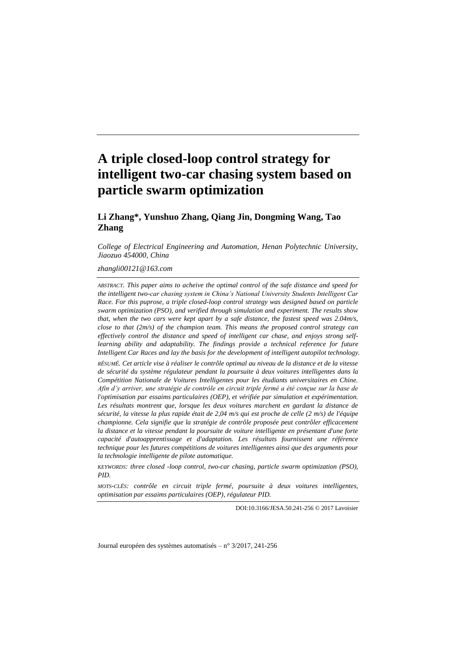# **A triple closed-loop control strategy for intelligent two-car chasing system based on particle swarm optimization**

## **Li Zhang\*, Yunshuo Zhang, Qiang Jin, Dongming Wang, Tao Zhang**

*College of Electrical Engineering and Automation, Henan Polytechnic University, Jiaozuo 454000, China*

*zhangli00121@163.com*

*ABSTRACT. This paper aims to acheive the optimal control of the safe distance and speed for the intelligent two-car chasing system in China's National University Students Intelligent Car Race. For this puprose, a triple closed-loop control strategy was designed based on particle swarm optimization (PSO), and verified through simulation and experiment. The results show that, when the two cars were kept apart by a safe distance, the fastest speed was 2.04m/s, close to that (2m/s) of the champion team. This means the proposed control strategy can effectively control the distance and speed of intelligent car chase, and enjoys strong self*learning ability and adaptability. The findings provide a technical reference for future *Intelligent Car Races and lay the basis for the development of intelligent autopilot technology.*

*RÉSUMÉ. Cet article vise à réaliser le contrôle optimal au niveau de la distance et de la vitesse de sécurité du système régulateur pendant la poursuite à deux voitures intelligentes dans la Compétition Nationale de Voitures Intelligentes pour les étudiants universitaires en Chine. Afin d'y arriver, une stratégie de contrôle en circuit triple fermé a été conçue sur la base de l'optimisation par essaims particulaires (OEP), et vérifiée par simulation et expérimentation.*  Les résultats montrent que, lorsque les deux voitures marchent en gardant la distance de *sécurité, la vitesse la plus rapide était de 2,04 m/s qui est proche de celle (2 m/s) de l'équipe championne. Cela signifie que la stratégie de contrôle proposée peut contrôler efficacement la distance et la vitesse pendant la poursuite de voiture intelligente en présentant d'une forte capacité d'autoapprentissage et d'adaptation. Les résultats fournissent une référence technique pour les futures compétitions de voitures intelligentes ainsi que des arguments pour la technologie intelligente de pilote automatique.*

*KEYWORDS: three closed -loop control, two-car chasing, particle swarm optimization (PSO), PID.*

*MOTS-CLÉS: contrôle en circuit triple fermé, poursuite à deux voitures intelligentes, optimisation par essaims particulaires (OEP), régulateur PID.*

DOI:10.3166/JESA.50.241-256 © 2017 Lavoisier

Journal européen des systèmes automatisés – n°3/2017, 241-256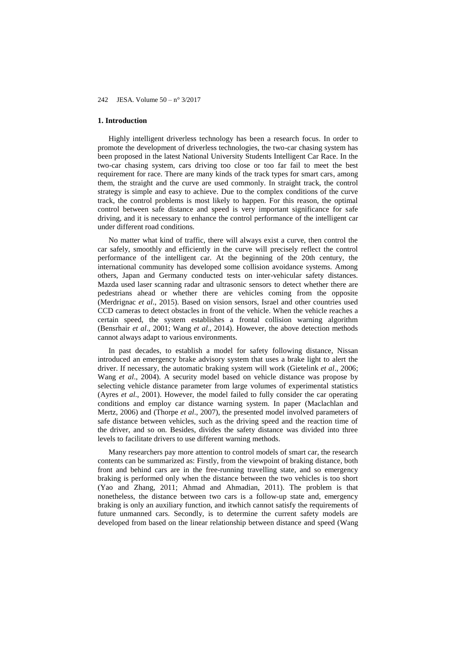## **1. Introduction**

Highly intelligent driverless technology has been a research focus. In order to promote the development of driverless technologies, the two-car chasing system has been proposed in the latest National University Students Intelligent Car Race. In the two-car chasing system, cars driving too close or too far fail to meet the best requirement for race. There are many kinds of the track types for smart cars, among them, the straight and the curve are used commonly. In straight track, the control strategy is simple and easy to achieve. Due to the complex conditions of the curve track, the control problems is most likely to happen. For this reason, the optimal control between safe distance and speed is very important significance for safe driving, and it is necessary to enhance the control performance of the intelligent car under different road conditions.

No matter what kind of traffic, there will always exist a curve, then control the car safely, smoothly and efficiently in the curve will precisely reflect the control performance of the intelligent car. At the beginning of the 20th century, the international community has developed some collision avoidance systems. Among others, Japan and Germany conducted tests on inter-vehicular safety distances. Mazda used laser scanning radar and ultrasonic sensors to detect whether there are pedestrians ahead or whether there are vehicles coming from the opposite (Merdrignac *et al*., 2015). Based on vision sensors, Israel and other countries used CCD cameras to detect obstacles in front of the vehicle. When the vehicle reaches a certain speed, the system establishes a frontal collision warning algorithm (Bensrhair *et al*., 2001; Wang *et al*., 2014). However, the above detection methods cannot always adapt to various environments.

In past decades, to establish a model for safety following distance, Nissan introduced an emergency brake advisory system that uses a brake light to alert the driver. If necessary, the automatic braking system will work (Gietelink *et al*., 2006; Wang *et al*., 2004). A security model based on vehicle distance was propose by selecting vehicle distance parameter from large volumes of experimental statistics (Ayres *et al*., 2001). However, the model failed to fully consider the car operating conditions and employ car distance warning system. In paper (Maclachlan and Mertz, 2006) and (Thorpe *et al*., 2007), the presented model involved parameters of safe distance between vehicles, such as the driving speed and the reaction time of the driver, and so on. Besides, divides the safety distance was divided into three levels to facilitate drivers to use different warning methods.

Many researchers pay more attention to control models of smart car, the research contents can be summarized as: Firstly, from the viewpoint of braking distance, both front and behind cars are in the free-running travelling state, and so emergency braking is performed only when the distance between the two vehicles is too short (Yao and Zhang, 2011; Ahmad and Ahmadian, 2011). The problem is that nonetheless, the distance between two cars is a follow-up state and, emergency braking is only an auxiliary function, and itwhich cannot satisfy the requirements of future unmanned cars. Secondly, is to determine the current safety models are developed from based on the linear relationship between distance and speed (Wang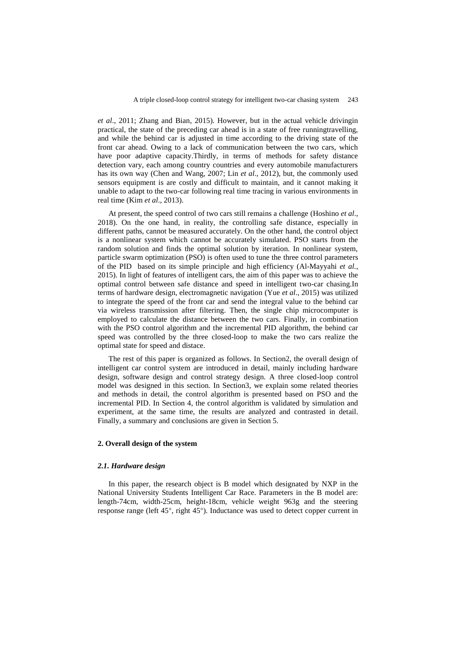*et al*., 2011; Zhang and Bian, 2015). However, but in the actual vehicle drivingin practical, the state of the preceding car ahead is in a state of free runningtravelling, and while the behind car is adjusted in time according to the driving state of the front car ahead. Owing to a lack of communication between the two cars, which have poor adaptive capacity.Thirdly, in terms of methods for safety distance detection vary, each among country countries and every automobile manufacturers has its own way (Chen and Wang, 2007; Lin *et al*., 2012), but, the commonly used sensors equipment is are costly and difficult to maintain, and it cannot making it unable to adapt to the two-car following real time tracing in various environments in real time (Kim *et al*., 2013).

At present, the speed control of two cars still remains a challenge (Hoshino *et al*., 2018). On the one hand, in reality, the controlling safe distance, especially in different paths, cannot be measured accurately. On the other hand, the control object is a nonlinear system which cannot be accurately simulated. PSO starts from the random solution and finds the optimal solution by iteration. In nonlinear system, particle swarm optimization (PSO) is often used to tune the three control parameters of the PID based on its simple principle and high efficiency (Al-Mayyahi *et al.*, 2015). In light of features of intelligent cars, the aim of this paper was to achieve the optimal control between safe distance and speed in intelligent two-car chasing.In terms of hardware design, electromagnetic navigation (Yue *et al*., 2015) was utilized to integrate the speed of the front car and send the integral value to the behind car via wireless transmission after filtering. Then, the single chip microcomputer is employed to calculate the distance between the two cars. Finally, in combination with the PSO control algorithm and the incremental PID algorithm, the behind car speed was controlled by the three closed-loop to make the two cars realize the optimal state for speed and distace.

The rest of this paper is organized as follows. In Section2, the overall design of intelligent car control system are introduced in detail, mainly including hardware design, software design and control strategy design. A three closed-loop control model was designed in this section. In Section3, we explain some related theories and methods in detail, the control algorithm is presented based on PSO and the incremental PID. In Section 4, the control algorithm is validated by simulation and experiment, at the same time, the results are analyzed and contrasted in detail. Finally, a summary and conclusions are given in Section 5.

## **2. Overall design of the system**

#### *2.1. Hardware design*

In this paper, the research object is B model which designated by NXP in the National University Students Intelligent Car Race. Parameters in the B model are: length-74cm, width-25cm, height-18cm, vehicle weight 963g and the steering response range (left 45°, right 45°). Inductance was used to detect copper current in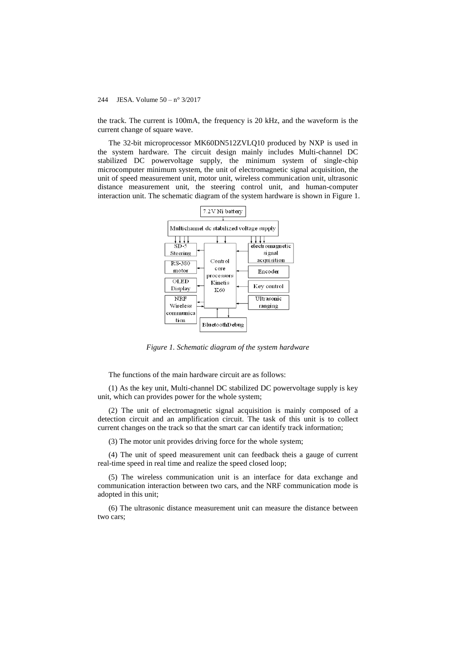the track. The current is 100mA, the frequency is 20 kHz, and the waveform is the current change of square wave.

The 32-bit microprocessor MK60DN512ZVLQ10 produced by NXP is used in the system hardware. The circuit design mainly includes Multi-channel DC stabilized DC powervoltage supply, the minimum system of single-chip microcomputer minimum system, the unit of electromagnetic signal acquisition, the unit of speed measurement unit, motor unit, wireless communication unit, ultrasonic distance measurement unit, the steering control unit, and human-computer interaction unit. The schematic diagram of the system hardware is shown in Figure 1.



*Figure 1. Schematic diagram of the system hardware*

The functions of the main hardware circuit are as follows:

(1) As the key unit, Multi-channel DC stabilized DC powervoltage supply is key unit, which can provides power for the whole system;

(2) The unit of electromagnetic signal acquisition is mainly composed of a detection circuit and an amplification circuit. The task of this unit is to collect current changes on the track so that the smart car can identify track information;

(3) The motor unit provides driving force for the whole system;

(4) The unit of speed measurement unit can feedback theis a gauge of current real-time speed in real time and realize the speed closed loop;

(5) The wireless communication unit is an interface for data exchange and communication interaction between two cars, and the NRF communication mode is adopted in this unit;

(6) The ultrasonic distance measurement unit can measure the distance between two cars;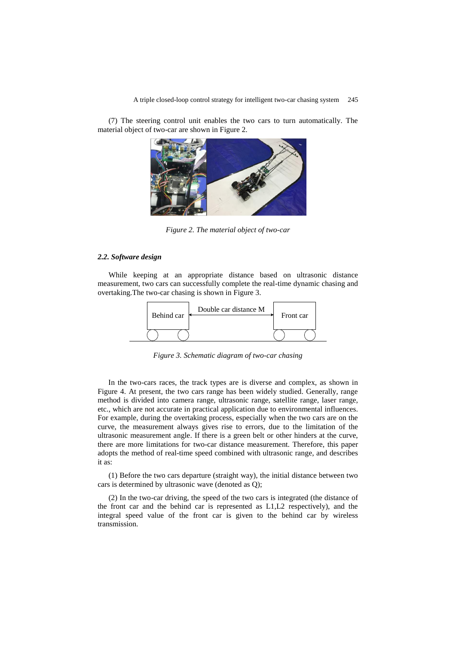(7) The steering control unit enables the two cars to turn automatically. The material object of two-car are shown in Figure 2.



*Figure 2. The material object of two-car*

#### *2.2. Software design*

While keeping at an appropriate distance based on ultrasonic distance measurement, two cars can successfully complete the real-time dynamic chasing and overtaking.The two-car chasing is shown in Figure 3.



*Figure 3. Schematic diagram of two-car chasing*

In the two-cars races, the track types are is diverse and complex, as shown in Figure 4. At present, the two cars range has been widely studied. Generally, range method is divided into camera range, ultrasonic range, satellite range, laser range, etc., which are not accurate in practical application due to environmental influences. For example, during the overtaking process, especially when the two cars are on the curve, the measurement always gives rise to errors, due to the limitation of the ultrasonic measurement angle. If there is a green belt or other hinders at the curve, there are more limitations for two-car distance measurement. Therefore, this paper adopts the method of real-time speed combined with ultrasonic range, and describes it as:

(1) Before the two cars departure (straight way), the initial distance between two cars is determined by ultrasonic wave (denoted as Q);

(2) In the two-car driving, the speed of the two cars is integrated (the distance of the front car and the behind car is represented as L1,L2 respectively), and the integral speed value of the front car is given to the behind car by wireless transmission.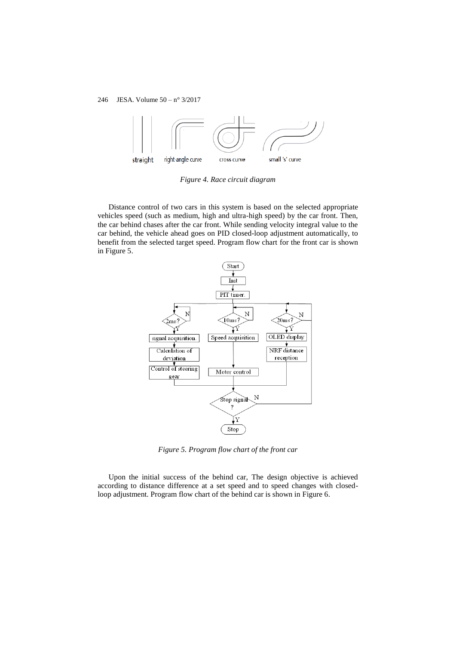

*Figure 4. Race circuit diagram*

Distance control of two cars in this system is based on the selected appropriate vehicles speed (such as medium, high and ultra-high speed) by the car front. Then, the car behind chases after the car front. While sending velocity integral value to the car behind, the vehicle ahead goes on PID closed-loop adjustment automatically, to benefit from the selected target speed. Program flow chart for the front car is shown in Figure 5.



*Figure 5. Program flow chart of the front car*

Upon the initial success of the behind car, The design objective is achieved according to distance difference at a set speed and to speed changes with closedloop adjustment. Program flow chart of the behind car is shown in Figure 6.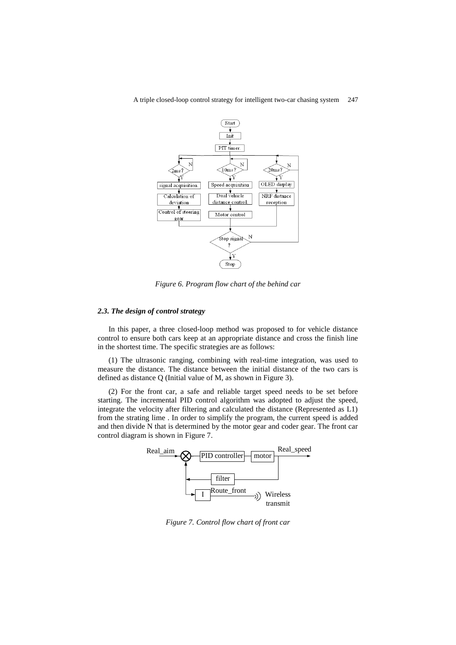



*Figure 6. Program flow chart of the behind car*

#### *2.3. The design of control strategy*

In this paper, a three closed-loop method was proposed to for vehicle distance control to ensure both cars keep at an appropriate distance and cross the finish line in the shortest time. The specific strategies are as follows:

(1) The ultrasonic ranging, combining with real-time integration, was used to measure the distance. The distance between the initial distance of the two cars is defined as distance Q (Initial value of M, as shown in Figure 3).

(2) For the front car, a safe and reliable target speed needs to be set before starting. The incremental PID control algorithm was adopted to adjust the speed, integrate the velocity after filtering and calculated the distance (Represented as L1) from the strating lime . In order to simplify the program, the current speed is added and then divide N that is determined by the motor gear and coder gear. The front car control diagram is shown in Figure 7.



*Figure 7. Control flow chart of front car*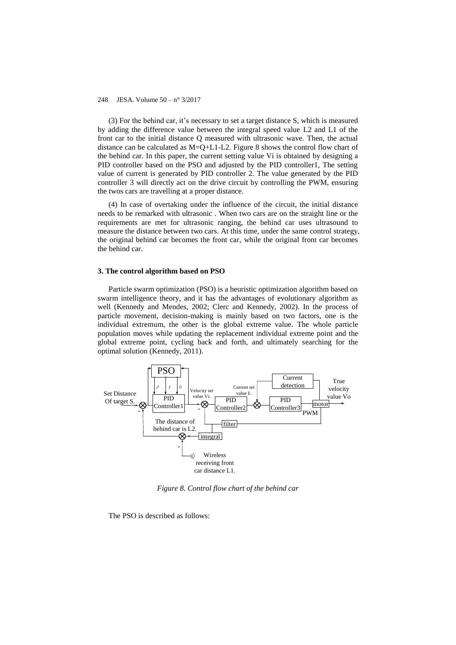(3) For the behind car, it's necessary to set a target distance S, which is measured by adding the difference value between the integral speed value L2 and L1 of the front car to the initial distance Q measured with ultrasonic wave. Then, the actual distance can be calculated as  $M=Q+L1-L2$ . Figure 8 shows the control flow chart of the behind car. In this paper, the current setting value Vi is obtained by designing a PID controller based on the PSO and adjusted by the PID controller1, The setting value of current is generated by PID controller 2. The value generated by the PID controller 3 will directly act on the drive circuit by controlling the PWM, ensuring the twos cars are travelling at a proper distance.

(4) In case of overtaking under the influence of the circuit, the initial distance needs to be remarked with ultrasonic . When two cars are on the straight line or the requirements are met for ultrasonic ranging, the behind car uses ultrasound to measure the distance between two cars. At this time, under the same control strategy, the original behind car becomes the front car, while the original front car becomes the behind car.

#### **3. The control algorithm based on PSO**

Particle swarm optimization (PSO) is a heuristic optimization algorithm based on swarm intelligence theory, and it has the advantages of evolutionary algorithm as well (Kennedy and Mendes, 2002; Clerc and Kennedy, 2002). In the process of particle movement, decision-making is mainly based on two factors, one is the individual extremum, the other is the global extreme value. The whole particle population moves while updating the replacement individual extreme point and the global extreme point, cycling back and forth, and ultimately searching for the optimal solution (Kennedy, 2011).



*Figure 8. Control flow chart of the behind car*

The PSO is described as follows: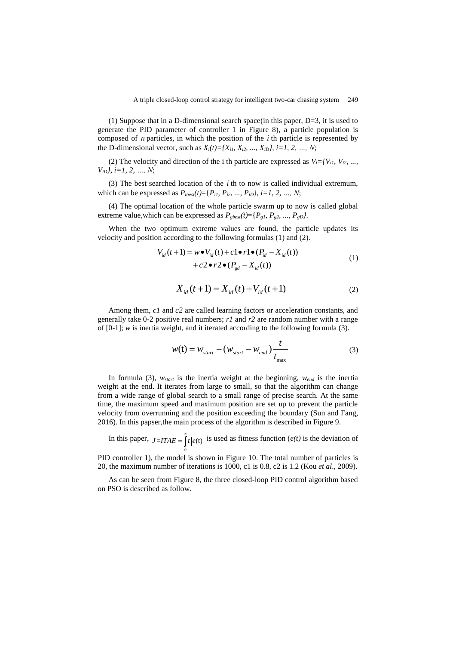(1) Suppose that in a D-dimensional search space(in this paper, D=3, it is used to generate the PID parameter of controller 1 in Figure 8), a particle population is composed of  $n$  particles, in which the position of the  $i$  th particle is represented by the D-dimensional vector, such as  $X_i(t) = \{X_{i1}, X_{i2}, ..., X_{iD}\}, i = 1, 2, ..., N;$ 

(2) The velocity and direction of the i th particle are expressed as  $V_i = \{V_{i1}, V_{i2}, \ldots, V_{iM}\}$ *ViD}, i=1, 2, …, N*;

(3) The best searched location of the  $i$  th to now is called individual extremum, which can be expressed as  $P_{ibest}(t) = \{P_{i1}, P_{i2}, ..., P_{iD}\}, i=1, 2, ..., N;$ 

(4) The optimal location of the whole particle swarm up to now is called global extreme value, which can be expressed as  $P_{gbest}(t) = {P_{g1}, P_{g2}, ..., P_{gD}}$ .

When the two optimum extreme values are found, the particle updates its

velocity and position according to the following formulas (1) and (2).  
\n
$$
V_{id}(t+1) = w \cdot V_{id}(t) + c1 \cdot r1 \cdot (P_{id} - X_{id}(t)) + c2 \cdot r2 \cdot (P_{gd} - X_{id}(t))
$$
\n(1)

$$
X_{id}(t+1) = X_{id}(t) + V_{id}(t+1)
$$
 (2)

Among them, *c1* and *c2* are called learning factors or acceleration constants, and generally take 0-2 positive real numbers; *r1* and *r2* are random number with a range of [0-1]; *w* is inertia weight, and it iterated according to the following formula (3).

$$
w(t) = w_{start} - (w_{start} - w_{end}) \frac{t}{t_{\text{max}}}
$$
 (3)

In formula (3), *wstart* is the inertia weight at the beginning, *wend* is the inertia weight at the end. It iterates from large to small, so that the algorithm can change from a wide range of global search to a small range of precise search. At the same time, the maximum speed and maximum position are set up to prevent the particle velocity from overrunning and the position exceeding the boundary (Sun and Fang, 2016). In this papser,the main process of the algorithm is described in Figure 9.

In this paper,  $J=ITAE = \int_0^\infty t |e(t)|$  is used as fitness function (*e(t)* is the deviation of 0

PID controller 1), the model is shown in Figure 10. The total number of particles is 20, the maximum number of iterations is 1000, c1 is 0.8, c2 is 1.2 (Kou *et al*., 2009).

As can be seen from Figure 8, the three closed-loop PID control algorithm based on PSO is described as follow.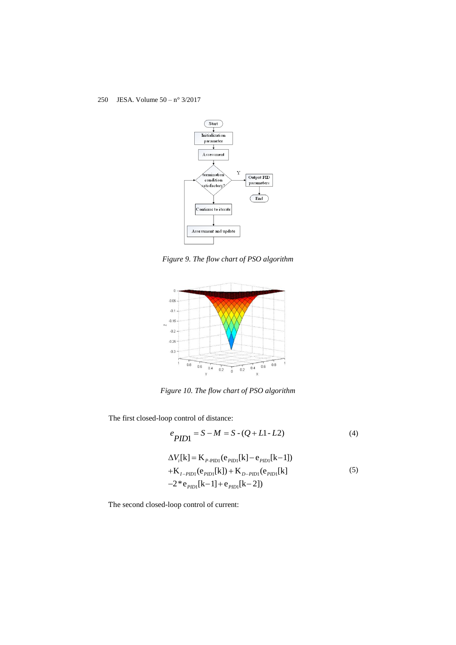

*Figure 9. The flow chart of PSO algorithm*



*Figure 10. The flow chart of PSO algorithm*

The first closed-loop control of distance:

$$
e_{PID1} = S - M = S - (Q + L1 - L2)
$$
 (4)

$$
\Delta V_i[k] = \mathbf{K}_{P\text{-PID1}}(\mathbf{e}_{PID}[\mathbf{k}] - \mathbf{e}_{PID}[\mathbf{k}-1])
$$
  
+ $\mathbf{K}_{I\text{-PID1}}(\mathbf{e}_{PID}[\mathbf{k}]) + \mathbf{K}_{D\text{-PID1}}(\mathbf{e}_{PID}[\mathbf{k}]$   
-2\* $\mathbf{e}_{PID}[\mathbf{k}-1] + \mathbf{e}_{PID}[\mathbf{k}-2])$  (5)

The second closed-loop control of current: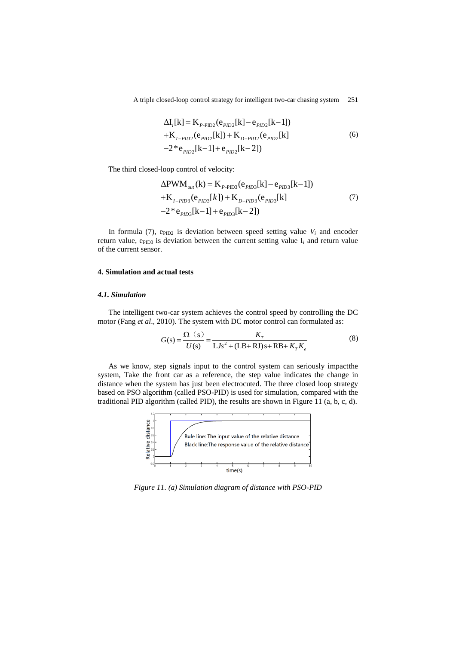$$
\Delta I_i[k] = K_{P-PID2}(e_{PID2}[k] - e_{PID2}[k-1])
$$
  
+ $K_{I-PID2}(e_{PID2}[k]) + K_{D-PID2}(e_{PID2}[k]$   
-2\*e<sub>PID2</sub>[k-1]+e<sub>PID2</sub>[k-2]) (6)

The third closed-loop control of velocity:  
\n
$$
\Delta \text{PWM}_{out}(\mathbf{k}) = \mathbf{K}_{P-\text{PID3}}(\mathbf{e}_{PID3}[\mathbf{k}] - \mathbf{e}_{PID3}[\mathbf{k} - 1]) + \mathbf{K}_{I-PID3}(\mathbf{e}_{PID3}[\mathbf{k}]) + \mathbf{K}_{D-PID3}(\mathbf{e}_{PID3}[\mathbf{k}]) \tag{7}
$$
\n
$$
-2 * \mathbf{e}_{PID3}[\mathbf{k} - 1] + \mathbf{e}_{PID3}[\mathbf{k} - 2])
$$

In formula (7),  $e_{PID2}$  is deviation between speed setting value  $V_i$  and encoder return value,  $e_{PID3}$  is deviation between the current setting value  $I_i$  and return value of the current sensor.

## **4. Simulation and actual tests**

#### *4.1. Simulation*

The intelligent two-car system achieves the control speed by controlling the DC

motor (Fang *et al.*, 2010). The system with DC motor control can formulated as:  
\n
$$
G(s) = \frac{\Omega(s)}{U(s)} = \frac{K_r}{LJs^2 + (LB + RJ)s + RB + K_rK_e}
$$
\n(8)

As we know, step signals input to the control system can seriously impactthe system, Take the front car as a reference, the step value indicates the change in distance when the system has just been electrocuted. The three closed loop strategy based on PSO algorithm (called PSO-PID) is used for simulation, compared with the traditional PID algorithm (called PID), the results are shown in Figure 11 (a, b, c, d).



*Figure 11. (a) Simulation diagram of distance with PSO-PID*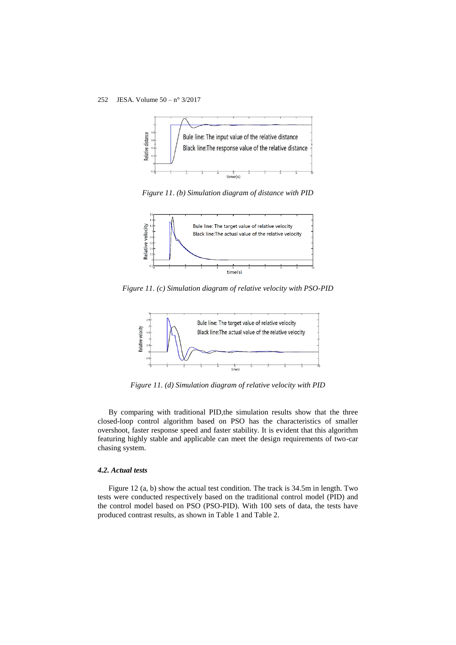

*Figure 11. (b) Simulation diagram of distance with PID*



*Figure 11. (c) Simulation diagram of relative velocity with PSO-PID*



*Figure 11. (d) Simulation diagram of relative velocity with PID*

By comparing with traditional PID,the simulation results show that the three closed-loop control algorithm based on PSO has the characteristics of smaller overshoot, faster response speed and faster stability. It is evident that this algorithm featuring highly stable and applicable can meet the design requirements of two-car chasing system.

#### *4.2. Actual tests*

Figure 12 (a, b) show the actual test condition. The track is 34.5m in length. Two tests were conducted respectively based on the traditional control model (PID) and the control model based on PSO (PSO-PID). With 100 sets of data, the tests have produced contrast results, as shown in Table 1 and Table 2.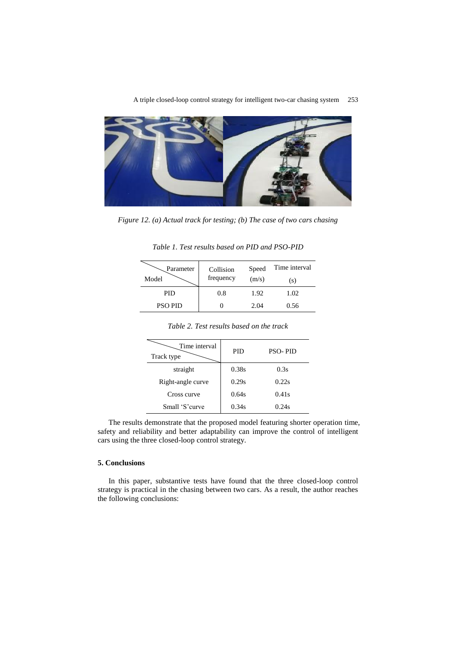

*Figure 12. (a) Actual track for testing; (b) The case of two cars chasing*

| Table 1. Test results based on PID and PSO-PID |
|------------------------------------------------|
|------------------------------------------------|

| Parameter<br>Model | Collision<br>frequency | Speed<br>(m/s) | Time interval<br>(S) |
|--------------------|------------------------|----------------|----------------------|
| <b>PID</b>         | 0.8                    | 1.92           | 1.02                 |
| <b>PSO PID</b>     |                        | 2.04           | 0.56                 |

| Time interval<br>Track type | <b>PID</b> | <b>PSO-PID</b> |
|-----------------------------|------------|----------------|
| straight                    | 0.38s      | 0.3s           |
| Right-angle curve           | 0.29s      | 0.22s          |
| Cross curve                 | 0.64s      | 0.41s          |
| Small 'S'curve              | 0.34s      | 0.24s          |

*Table 2. Test results based on the track*

The results demonstrate that the proposed model featuring shorter operation time, safety and reliability and better adaptability can improve the control of intelligent cars using the three closed-loop control strategy.

### **5. Conclusions**

In this paper, substantive tests have found that the three closed-loop control strategy is practical in the chasing between two cars. As a result, the author reaches the following conclusions: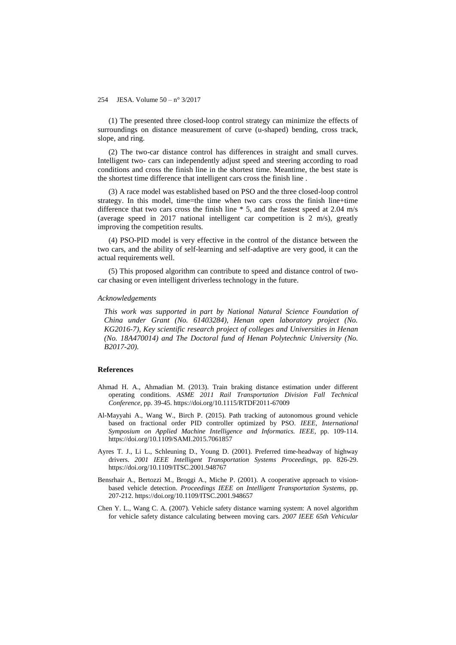(1) The presented three closed-loop control strategy can minimize the effects of surroundings on distance measurement of curve (u-shaped) bending, cross track, slope, and ring.

(2) The two-car distance control has differences in straight and small curves. Intelligent two- cars can independently adjust speed and steering according to road conditions and cross the finish line in the shortest time. Meantime, the best state is the shortest time difference that intelligent cars cross the finish line .

(3) A race model was established based on PSO and the three closed-loop control strategy. In this model, time=the time when two cars cross the finish line+time difference that two cars cross the finish line \* 5, and the fastest speed at 2.04 m/s (average speed in 2017 national intelligent car competition is 2 m/s), greatly improving the competition results.

(4) PSO-PID model is very effective in the control of the distance between the two cars, and the ability of self-learning and self-adaptive are very good, it can the actual requirements well.

(5) This proposed algorithm can contribute to speed and distance control of twocar chasing or even intelligent driverless technology in the future.

#### *Acknowledgements*

*This work was supported in part by National Natural Science Foundation of China under Grant (No. 61403284), Henan open laboratory project (No. KG2016-7), Key scientific research project of colleges and Universities in Henan (No. 18A470014) and The Doctoral fund of Henan Polytechnic University (No. B2017-20).*

#### **References**

- Ahmad H. A., Ahmadian M. (2013). Train braking distance estimation under different operating conditions. *ASME 2011 Rail Transportation Division Fall Technical Conference*, pp. 39-45. https://doi.org/10.1115/RTDF2011-67009
- Al-Mayyahi A., Wang W., Birch P. (2015). Path tracking of autonomous ground vehicle based on fractional order PID controller optimized by PSO. *IEEE, International Symposium on Applied Machine Intelligence and Informatics. IEEE*, pp. 109-114. https://doi.org/10.1109/SAMI.2015.7061857
- Ayres T. J., Li L., Schleuning D., Young D. (2001). Preferred time-headway of highway drivers. *2001 IEEE Intelligent Transportation Systems Proceedings*, pp. 826-29. https://doi.org/10.1109/ITSC.2001.948767
- Bensrhair A., Bertozzi M., Broggi A., Miche P. (2001). A cooperative approach to visionbased vehicle detection. *Proceedings IEEE on Intelligent Transportation Systems*, pp. 207-212. https://doi.org/10.1109/ITSC.2001.948657
- Chen Y. L., Wang C. A. (2007). Vehicle safety distance warning system: A novel algorithm for vehicle safety distance calculating between moving cars. *2007 IEEE 65th Vehicular*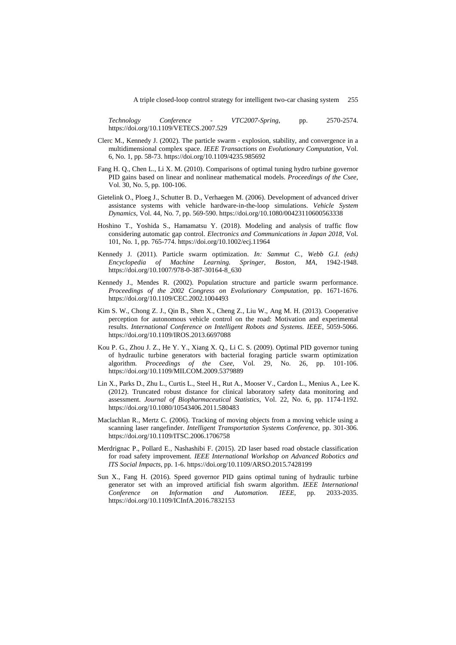*Technology Conference - VTC2007-Spring*, pp. 2570-2574. https://doi.org/10.1109/VETECS.2007.529

- Clerc M., Kennedy J. (2002). The particle swarm explosion, stability, and convergence in a multidimensional complex space. *IEEE Transactions on Evolutionary Computation*, Vol. 6, No. 1, pp. 58-73. https://doi.org/10.1109/4235.985692
- Fang H. Q., Chen L., Li X. M. (2010). Comparisons of optimal tuning hydro turbine governor PID gains based on linear and nonlinear mathematical models. *Proceedings of the Csee*, Vol. 30, No. 5, pp. 100-106.
- Gietelink O., Ploeg J., Schutter B. D., Verhaegen M. (2006). Development of advanced driver assistance systems with vehicle hardware-in-the-loop simulations. *Vehicle System Dynamics*, Vol. 44, No. 7, pp. 569-590. https://doi.org/10.1080/00423110600563338
- Hoshino T., Yoshida S., Hamamatsu Y. (2018). Modeling and analysis of traffic flow considering automatic gap control. *Electronics and Communications in Japan 2018*, Vol. 101, No. 1, pp. 765-774. https://doi.org/10.1002/ecj.11964
- Kennedy J. (2011). Particle swarm optimization. *In: Sammut C., Webb G.I. (eds) Encyclopedia of Machine Learning. Springer, Boston, MA*, 1942-1948. https://doi.org/10.1007/978-0-387-30164-8\_630
- Kennedy J., Mendes R. (2002). Population structure and particle swarm performance. *Proceedings of the 2002 Congress on Evolutionary Computation*, pp. 1671-1676. https://doi.org/10.1109/CEC.2002.1004493
- Kim S. W., Chong Z. J., Qin B., Shen X., Cheng Z., Liu W., Ang M. H. (2013). Cooperative perception for autonomous vehicle control on the road: Motivation and experimental results. *International Conference on Intelligent Robots and Systems. IEEE*, 5059-5066. https://doi.org/10.1109/IROS.2013.6697088
- Kou P. G., Zhou J. Z., He Y. Y., Xiang X. Q., Li C. S. (2009). Optimal PID governor tuning of hydraulic turbine generators with bacterial foraging particle swarm optimization algorithm. *Proceedings of the Csee*, Vol. 29, No. 26, pp. 101-106. https://doi.org/10.1109/MILCOM.2009.5379889
- Lin X., Parks D., Zhu L., Curtis L., Steel H., Rut A., Mooser V., Cardon L., Menius A., Lee K. (2012). Truncated robust distance for clinical laboratory safety data monitoring and assessment. *Journal of Biopharmaceutical Statistics*, Vol. 22, No. 6, pp. 1174-1192. https://doi.org/10.1080/10543406.2011.580483
- Maclachlan R., Mertz C. (2006). Tracking of moving objects from a moving vehicle using a scanning laser rangefinder. *Intelligent Transportation Systems Conference*, pp. 301-306. https://doi.org/10.1109/ITSC.2006.1706758
- Merdrignac P., Pollard E., Nashashibi F. (2015). 2D laser based road obstacle classification for road safety improvement. *IEEE International Workshop on Advanced Robotics and ITS Social Impacts*, pp. 1-6. https://doi.org/10.1109/ARSO.2015.7428199
- Sun X., Fang H. (2016). Speed governor PID gains optimal tuning of hydraulic turbine generator set with an improved artificial fish swarm algorithm. *IEEE International Conference on Information and Automation. IEEE*, pp. 2033-2035. https://doi.org/10.1109/ICInfA.2016.7832153